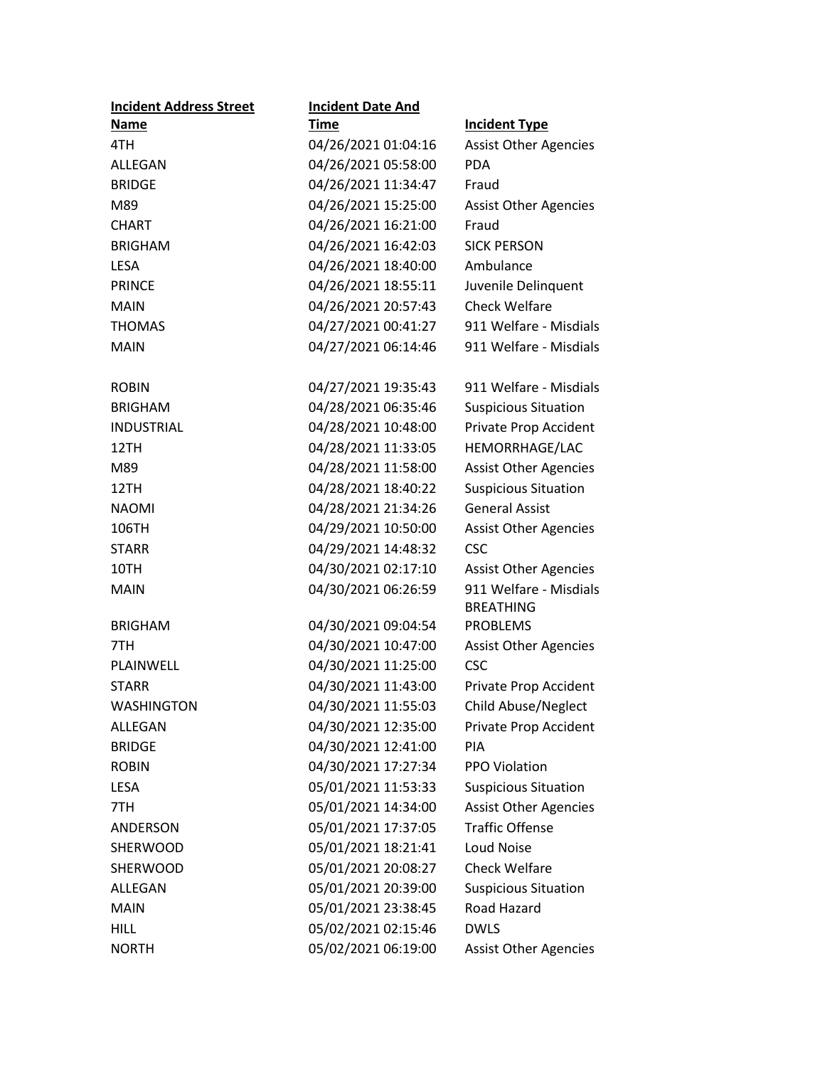| <b>Incident Address Street</b> | <b>Incident Date And</b> |                                                      |
|--------------------------------|--------------------------|------------------------------------------------------|
| Name                           | Time                     | <b>Incident Type</b>                                 |
| 4TH                            | 04/26/2021 01:04:16      | <b>Assist Other Agencies</b>                         |
| ALLEGAN                        | 04/26/2021 05:58:00      | PDA                                                  |
| <b>BRIDGE</b>                  | 04/26/2021 11:34:47      | Fraud                                                |
| M89                            | 04/26/2021 15:25:00      | <b>Assist Other Agencies</b>                         |
| <b>CHART</b>                   | 04/26/2021 16:21:00      | Fraud                                                |
| <b>BRIGHAM</b>                 | 04/26/2021 16:42:03      | <b>SICK PERSON</b>                                   |
| <b>LESA</b>                    | 04/26/2021 18:40:00      | Ambulance                                            |
| <b>PRINCE</b>                  | 04/26/2021 18:55:11      | Juvenile Delinquent                                  |
| <b>MAIN</b>                    | 04/26/2021 20:57:43      | <b>Check Welfare</b>                                 |
| <b>THOMAS</b>                  | 04/27/2021 00:41:27      | 911 Welfare - Misdials                               |
| <b>MAIN</b>                    | 04/27/2021 06:14:46      | 911 Welfare - Misdials                               |
| <b>ROBIN</b>                   | 04/27/2021 19:35:43      | 911 Welfare - Misdials                               |
| <b>BRIGHAM</b>                 | 04/28/2021 06:35:46      | <b>Suspicious Situation</b>                          |
| <b>INDUSTRIAL</b>              | 04/28/2021 10:48:00      | Private Prop Accident                                |
| 12TH                           | 04/28/2021 11:33:05      | HEMORRHAGE/LAC                                       |
| M89                            | 04/28/2021 11:58:00      | <b>Assist Other Agencies</b>                         |
|                                | 04/28/2021 18:40:22      |                                                      |
| 12TH                           |                          | <b>Suspicious Situation</b><br><b>General Assist</b> |
| <b>NAOMI</b>                   | 04/28/2021 21:34:26      |                                                      |
| 106TH                          | 04/29/2021 10:50:00      | <b>Assist Other Agencies</b>                         |
| <b>STARR</b>                   | 04/29/2021 14:48:32      | <b>CSC</b>                                           |
| 10TH                           | 04/30/2021 02:17:10      | <b>Assist Other Agencies</b>                         |
| <b>MAIN</b>                    | 04/30/2021 06:26:59      | 911 Welfare - Misdials                               |
| <b>BRIGHAM</b>                 | 04/30/2021 09:04:54      | <b>BREATHING</b><br><b>PROBLEMS</b>                  |
| 7TH                            | 04/30/2021 10:47:00      | <b>Assist Other Agencies</b>                         |
| PLAINWELL                      | 04/30/2021 11:25:00      | <b>CSC</b>                                           |
| <b>STARR</b>                   | 04/30/2021 11:43:00      | Private Prop Accident                                |
| <b>WASHINGTON</b>              | 04/30/2021 11:55:03      | <b>Child Abuse/Neglect</b>                           |
| <b>ALLEGAN</b>                 | 04/30/2021 12:35:00      | Private Prop Accident                                |
| <b>BRIDGE</b>                  | 04/30/2021 12:41:00      | PIA                                                  |
| <b>ROBIN</b>                   | 04/30/2021 17:27:34      | PPO Violation                                        |
|                                |                          |                                                      |
| <b>LESA</b>                    | 05/01/2021 11:53:33      | <b>Suspicious Situation</b>                          |
| 7TH                            | 05/01/2021 14:34:00      | <b>Assist Other Agencies</b>                         |
| ANDERSON                       | 05/01/2021 17:37:05      | <b>Traffic Offense</b>                               |
| SHERWOOD                       | 05/01/2021 18:21:41      | <b>Loud Noise</b>                                    |
| <b>SHERWOOD</b>                | 05/01/2021 20:08:27      | <b>Check Welfare</b>                                 |
| ALLEGAN                        | 05/01/2021 20:39:00      | <b>Suspicious Situation</b>                          |
| <b>MAIN</b>                    | 05/01/2021 23:38:45      | Road Hazard                                          |
| <b>HILL</b>                    | 05/02/2021 02:15:46      | <b>DWLS</b>                                          |
| <b>NORTH</b>                   | 05/02/2021 06:19:00      | <b>Assist Other Agencies</b>                         |